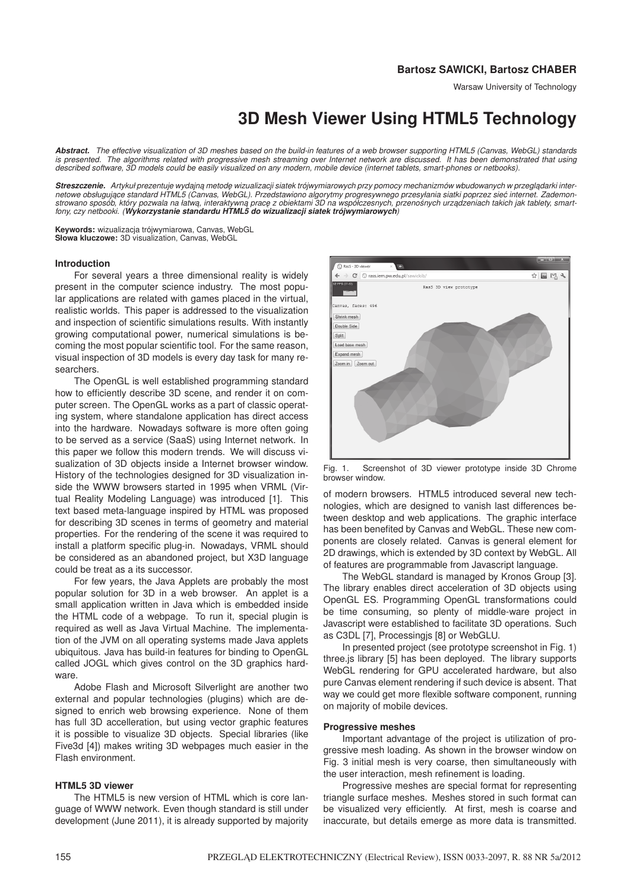# **Bartosz SAWICKI, Bartosz CHABER**

# **3D Mesh Viewer Using HTML5 Technology**

*Abstract. The effective visualization of 3D meshes based on the build-in features of a web browser supporting HTML5 (Canvas, WebGL) standards is presented. The algorithms related with progressive mesh streaming over Internet network are discussed. It has been demonstrated that using described software, 3D models could be easily visualized on any modern, mobile device (internet tablets, smart-phones or netbooks).*

Streszczenie. Artykuł prezentuje wydajną metodę wizualizacji siatek trójwymiarowych przy pomocy mechanizmów wbudowanych w przeglądarki inter*netowe obsługuj ˛ace standard HTML5 (Canvas, WebGL). Przedstawiono algorytmy progresywnego przesyłania siatki poprzez siec internet. Zademon- ´* strowano sposób, który pozwala na łatwą, interaktywną pracę z obiektami 3D na współczesnych, przenośnych urządzeniach takich jak tablety, smart*fony, czy netbooki. (Wykorzystanie standardu HTML5 do wizualizacji siatek trójwymiarowych)*

**Keywords:** wizualizacja trójwymiarowa, Canvas, WebGL **Słowa kluczowe:** 3D visualization, Canvas, WebGL

## **Introduction**

For several years a three dimensional reality is widely present in the computer science industry. The most popular applications are related with games placed in the virtual, realistic worlds. This paper is addressed to the visualization and inspection of scientific simulations results. With instantly growing computational power, numerical simulations is becoming the most popular scientific tool. For the same reason, visual inspection of 3D models is every day task for many researchers.

The OpenGL is well established programming standard how to efficiently describe 3D scene, and render it on computer screen. The OpenGL works as a part of classic operating system, where standalone application has direct access into the hardware. Nowadays software is more often going to be served as a service (SaaS) using Internet network. In this paper we follow this modern trends. We will discuss visualization of 3D objects inside a Internet browser window. History of the technologies designed for 3D visualization inside the WWW browsers started in 1995 when VRML (Virtual Reality Modeling Language) was introduced [1]. This text based meta-language inspired by HTML was proposed for describing 3D scenes in terms of geometry and material properties. For the rendering of the scene it was required to install a platform specific plug-in. Nowadays, VRML should be considered as an abandoned project, but X3D language could be treat as a its successor.

For few years, the Java Applets are probably the most popular solution for 3D in a web browser. An applet is a small application written in Java which is embedded inside the HTML code of a webpage. To run it, special plugin is required as well as Java Virtual Machine. The implementation of the JVM on all operating systems made Java applets ubiquitous. Java has build-in features for binding to OpenGL called JOGL which gives control on the 3D graphics hardware.

Adobe Flash and Microsoft Silverlight are another two external and popular technologies (plugins) which are designed to enrich web browsing experience. None of them has full 3D accelleration, but using vector graphic features it is possible to visualize 3D objects. Special libraries (like Five3d [4]) makes writing 3D webpages much easier in the Flash environment.

# **HTML5 3D viewer**

The HTML5 is new version of HTML which is core language of WWW network. Even though standard is still under development (June 2011), it is already supported by majority



Fig. 1. Screenshot of 3D viewer prototype inside 3D Chrome browser window.

of modern browsers. HTML5 introduced several new technologies, which are designed to vanish last differences between desktop and web applications. The graphic interface has been benefited by Canvas and WebGL. These new components are closely related. Canvas is general element for 2D drawings, which is extended by 3D context by WebGL. All of features are programmable from Javascript language.

The WebGL standard is managed by Kronos Group [3]. The library enables direct acceleration of 3D objects using OpenGL ES. Programming OpenGL transformations could be time consuming, so plenty of middle-ware project in Javascript were established to facilitate 3D operations. Such as C3DL [7], Processingjs [8] or WebGLU.

In presented project (see prototype screenshot in Fig. 1) three.js library [5] has been deployed. The library supports WebGL rendering for GPU accelerated hardware, but also pure Canvas element rendering if such device is absent. That way we could get more flexible software component, running on majority of mobile devices.

## **Progressive meshes**

Important advantage of the project is utilization of progressive mesh loading. As shown in the browser window on Fig. 3 initial mesh is very coarse, then simultaneously with the user interaction, mesh refinement is loading.

Progressive meshes are special format for representing triangle surface meshes. Meshes stored in such format can be visualized very efficiently. At first, mesh is coarse and inaccurate, but details emerge as more data is transmitted.

Warsaw University of Technology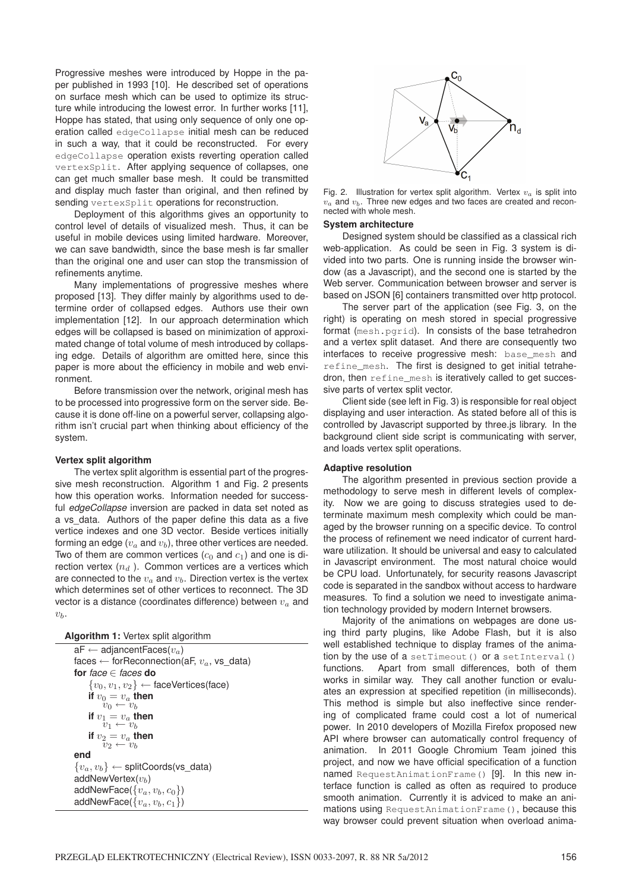Progressive meshes were introduced by Hoppe in the paper published in 1993 [10]. He described set of operations on surface mesh which can be used to optimize its structure while introducing the lowest error. In further works [11], Hoppe has stated, that using only sequence of only one operation called edgeCollapse initial mesh can be reduced in such a way, that it could be reconstructed. For every edgeCollapse operation exists reverting operation called vertexSplit. After applying sequence of collapses, one can get much smaller base mesh. It could be transmitted and display much faster than original, and then refined by sending vertexSplit operations for reconstruction.

Deployment of this algorithms gives an opportunity to control level of details of visualized mesh. Thus, it can be useful in mobile devices using limited hardware. Moreover, we can save bandwidth, since the base mesh is far smaller than the original one and user can stop the transmission of refinements anytime.

Many implementations of progressive meshes where proposed [13]. They differ mainly by algorithms used to determine order of collapsed edges. Authors use their own implementation [12]. In our approach determination which edges will be collapsed is based on minimization of approximated change of total volume of mesh introduced by collapsing edge. Details of algorithm are omitted here, since this paper is more about the efficiency in mobile and web environment.

Before transmission over the network, original mesh has to be processed into progressive form on the server side. Because it is done off-line on a powerful server, collapsing algorithm isn't crucial part when thinking about efficiency of the system.

# **Vertex split algorithm**

The vertex split algorithm is essential part of the progressive mesh reconstruction. Algorithm 1 and Fig. 2 presents how this operation works. Information needed for successful *edgeCollapse* inversion are packed in data set noted as a vs\_data. Authors of the paper define this data as a five vertice indexes and one 3D vector. Beside vertices initially forming an edge  $(v_a$  and  $v_b)$ , three other vertices are needed. Two of them are common vertices  $(c_0$  and  $c_1$ ) and one is direction vertex  $(n_d)$ . Common vertices are a vertices which are connected to the  $v_a$  and  $v_b$ . Direction vertex is the vertex which determines set of other vertices to reconnect. The 3D vector is a distance (coordinates difference) between  $v_a$  and  $v_b$ .

| Algorithm 1: Vertex split algorithm |  |  |  |  |  |
|-------------------------------------|--|--|--|--|--|
|-------------------------------------|--|--|--|--|--|

 $aF \leftarrow ad$ jancentFaces $(v_a)$ faces  $\leftarrow$  for Reconnection(aF,  $v_a$ , vs\_data) **for** *face* ∈ *faces* **do**  ${v_0, v_1, v_2} \leftarrow$  faceVertices(face) **if**  $v_0 = v_a$  **then**  $v_0 \leftarrow v_b$ **if**  $v_1 = v_a$  **then**  $v_1 \leftarrow v_b$ **if**  $v_2 = v_a$  **then**  $v_2 \leftarrow v_b$ **end**  ${v_a,v_b\rbrace \leftarrow \textsf{splitCoordinates}(\textsf{vs\_data})$ addNewVertex $(v<sub>b</sub>)$ addNewFace( $\{v_a, v_b, c_0\}$ ) addNewFace( $\{v_a, v_b, c_1\}$ )



Fig. 2. Illustration for vertex split algorithm. Vertex  $v_a$  is split into  $v_a$  and  $v_b$ . Three new edges and two faces are created and reconnected with whole mesh.

## **System architecture**

Designed system should be classified as a classical rich web-application. As could be seen in Fig. 3 system is divided into two parts. One is running inside the browser window (as a Javascript), and the second one is started by the Web server. Communication between browser and server is based on JSON [6] containers transmitted over http protocol.

The server part of the application (see Fig. 3, on the right) is operating on mesh stored in special progressive format (mesh.pgrid). In consists of the base tetrahedron and a vertex split dataset. And there are consequently two interfaces to receive progressive mesh: base\_mesh and refine mesh. The first is designed to get initial tetrahedron, then refine mesh is iteratively called to get successive parts of vertex split vector.

Client side (see left in Fig. 3) is responsible for real object displaying and user interaction. As stated before all of this is controlled by Javascript supported by three.js library. In the background client side script is communicating with server, and loads vertex split operations.

## **Adaptive resolution**

The algorithm presented in previous section provide a methodology to serve mesh in different levels of complexity. Now we are going to discuss strategies used to determinate maximum mesh complexity which could be managed by the browser running on a specific device. To control the process of refinement we need indicator of current hardware utilization. It should be universal and easy to calculated in Javascript environment. The most natural choice would be CPU load. Unfortunately, for security reasons Javascript code is separated in the sandbox without access to hardware measures. To find a solution we need to investigate animation technology provided by modern Internet browsers.

Majority of the animations on webpages are done using third party plugins, like Adobe Flash, but it is also well established technique to display frames of the animation by the use of a set Timeout () or a set Interval () functions. Apart from small differences, both of them works in similar way. They call another function or evaluates an expression at specified repetition (in milliseconds). This method is simple but also ineffective since rendering of complicated frame could cost a lot of numerical power. In 2010 developers of Mozilla Firefox proposed new API where browser can automatically control frequency of animation. In 2011 Google Chromium Team joined this project, and now we have official specification of a function named RequestAnimationFrame() [9]. In this new interface function is called as often as required to produce smooth animation. Currently it is adviced to make an animations using RequestAnimationFrame(), because this way browser could prevent situation when overload anima-